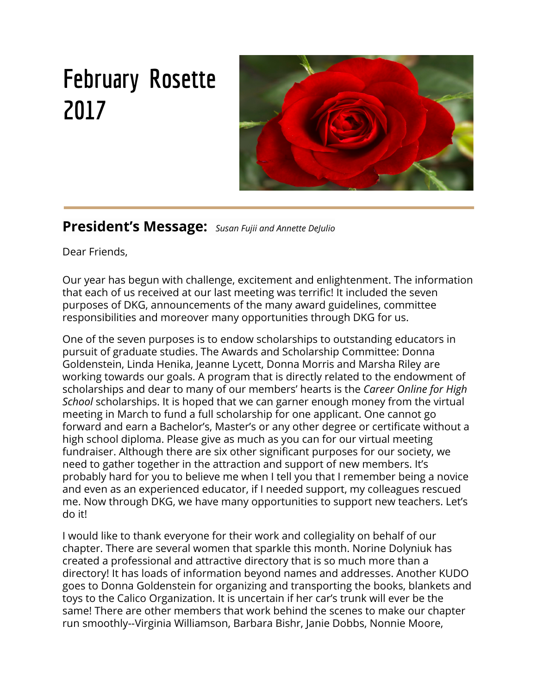# **February Rosette 2017**



### **President's Message:** *Susan Fujii and Annette DeJulio*

Dear Friends,

Our year has begun with challenge, excitement and enlightenment. The information that each of us received at our last meeting was terrific! It included the seven purposes of DKG, announcements of the many award guidelines, committee responsibilities and moreover many opportunities through DKG for us.

One of the seven purposes is to endow scholarships to outstanding educators in pursuit of graduate studies. The Awards and Scholarship Committee: Donna Goldenstein, Linda Henika, Jeanne Lycett, Donna Morris and Marsha Riley are working towards our goals. A program that is directly related to the endowment of scholarships and dear to many of our members' hearts is the *Career Online for High School* scholarships. It is hoped that we can garner enough money from the virtual meeting in March to fund a full scholarship for one applicant. One cannot go forward and earn a Bachelor's, Master's or any other degree or certificate without a high school diploma. Please give as much as you can for our virtual meeting fundraiser. Although there are six other significant purposes for our society, we need to gather together in the attraction and support of new members. It's probably hard for you to believe me when I tell you that I remember being a novice and even as an experienced educator, if I needed support, my colleagues rescued me. Now through DKG, we have many opportunities to support new teachers. Let's do it!

I would like to thank everyone for their work and collegiality on behalf of our chapter. There are several women that sparkle this month. Norine Dolyniuk has created a professional and attractive directory that is so much more than a directory! It has loads of information beyond names and addresses. Another KUDO goes to Donna Goldenstein for organizing and transporting the books, blankets and toys to the Calico Organization. It is uncertain if her car's trunk will ever be the same! There are other members that work behind the scenes to make our chapter run smoothly--Virginia Williamson, Barbara Bishr, Janie Dobbs, Nonnie Moore,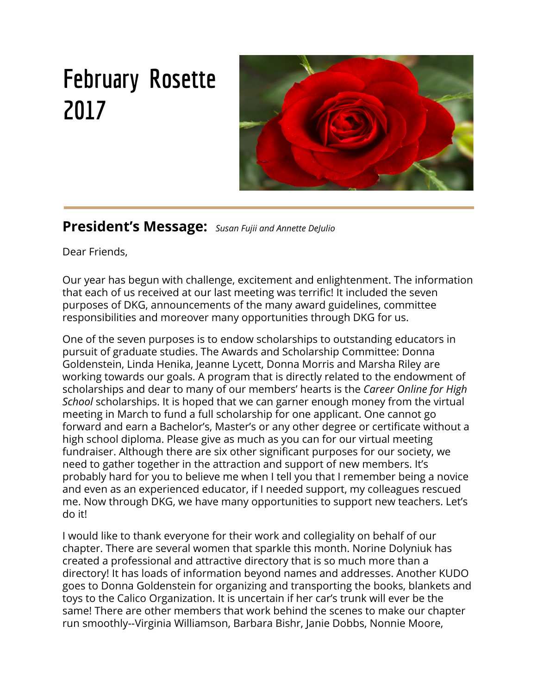Karen Bercovitz, Marilyn Baker-Madsen, Jennifer Gonsalves, Jean Groth and so many more. If your name does not appear, please know you are not forgotten, but appreciated. Roses to all.

Our February meeting was a joint meeting with the Zeta Zeta Chapter of DKG at the Crow Canyon Country Club (BTW, the chicken was delicious. I know nothing about the pasta!). We carpooled with conversation and laughter, making the distance short. It was an enjoyable way to share ideas and make new friends. A feeling of unity in working towards life changing goals in education was present all through the evening. A grand thanks to our hosts, Zeta Zeta.

Don't forget that our March meeting is a virtual one. Please send in your dollars to Nonnie Moore or Susan Levy.

Nonnie Moore: 3309 Streamside Circle, #303, Pleasanton, CA 94588 Susan Levy: 3386 Estero Drive, San Ramon, CA 94583

Stay safe, warm and dry,

Annette and Susan



### **Alpha Omega Chapter, Delta Kappa Gamma Meeting/January 17, 2017/ Minutes**

**Present:** Marilyn Baker-Madsen, Barbara Bishr, Peggy Collett, Noreen Dolyniuk, Susan Fujii, Donna Goldenstein, Jennifer Gonsalves, Mary Ann Gonsalves, Jean Groth, Bonnie Hansen, Linda Henika, Susan Levy, Stephanie Magallon, Nonnie Moore, Nancy Wales, Virginia Williamson.

**Guests:** Cynthia Ball, Diana Sawin

**Presentation.** Following dinner and the business meeting, Diana Sawin, DKG California State Support Team for Emerging Professionals (STEP) committee and Virginia Williamson, DKG California State Membership Committee and Past President of Alpha Omega Chapter, made a presentation on "Building Our Voices Through DKG." The presentation provided an historical background on Delta Kappa Gamma International, founded in 1929, Chi State-California, founded in 1936 and Alpha Omega Chapter-Hayward, founded in 1947. Virginia charted International with 17 Countries and an International Convention in even years, Southwest Region with 4 Regions and a Regional Conference in odd years, California with 18 Regions and a State Convention every year in May, and Area III with 9 Chapters including Alpha Omega and an Area Conference every year in October. Virginia reminded us of the 7 Purposes of DKG and spoke about our areas of focus – Making a Difference, Having an Impact, Giving to the Community and Lifelong Learning. She also spoke about attracting women to our organization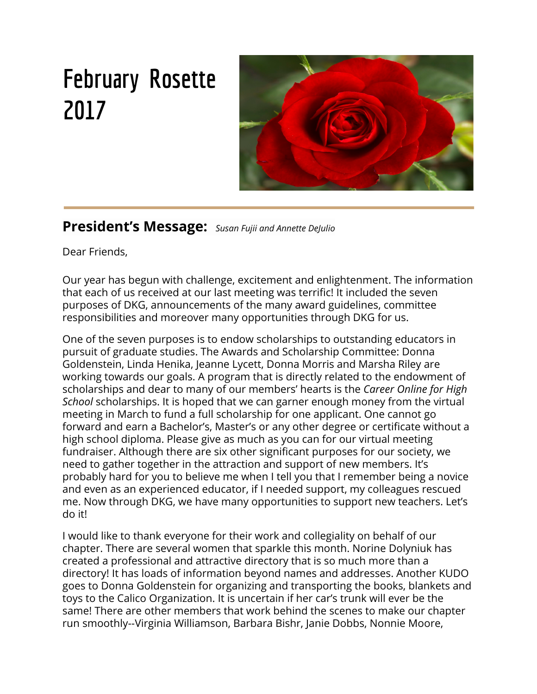by giving the gift of membership. Diana Sawin spoke about opportunities through DKG and the Penne Ferrell Fund Literacy Awards for non-DKG educators. She also spoke about THAT hours. Diana shared the story of her journey with DKG. The presentation ended with a video produced by DKG California called Each One Reach One.

**Call to Order.** The meeting was called to order by Co-President, Susan Fujii. She advised that Co-President, Annette De Julio, was unable to attend due to illness.

**Welcome Members and Guests.** Co-President, Susan Fujii, extended a warm welcome to members and guests, Cynthia Ball and Diana Sawin**.**

**Approval of Minutes.** It was moved by Bonnie Hansen and seconded by Nonnie Moore to approve the minutes as presented. The motion passed.

**Treasurer's Report.** Co-Treasurer, Nonnie Moore, directed attention to the Treasurer's Report for December 2016. She noted that \$1,000 was provided to our Community Partner, CALICO. It was moved by Norine Dolyniuk and seconded by Virginia Williamson to accept the Treasurer's Report for November as presented. The motion passed.

**Correspondence.**  Donna Goldenstein read two letters from CALICO thanking the Alpha Omega Chapter for their generous monetary donation and for the of books, toys, blankets and Teddy Bears for the children who are served by their organization.

#### **Old Business.**

Scholarship Committee Proposal – Linda Henika related that the Scholarship Committee is proposing that the annual \$1,000 scholarship for a new teacher be continued and that three \$300 scholarships be made available to classroom teachers in support of classroom projects. It was moved by Barbara Bishr and seconded by Jennifer Gonsalves to accept this proposal. The motion passed.

Rosette Deadline – Barbara Bishr reminded the group that the Rosette is published online on the 10th of each month. She and Janie Dobbs would be grateful to receive submissions before the 10th of each month, or early on the 10th to be included in each addition that is posted later in the day.

#### **New Business:**

Library Literacy Program – Jean Groth moves and Virginia Williamson seconds the money raised from the Virtual Meeting be used to provide a scholarship for the Career Online High School that is being offered by the Literacy Program that offers adults the opportunity to earn an accredited high school diploma and career certificate. A discussion follows the motion and includes the suggestion that money raised at the virtual meeting go instead to support an additional scholarship for a new teacher. Concern for our chapter having enough money to support all our sponsorships was raised. The question was called and the motion passed.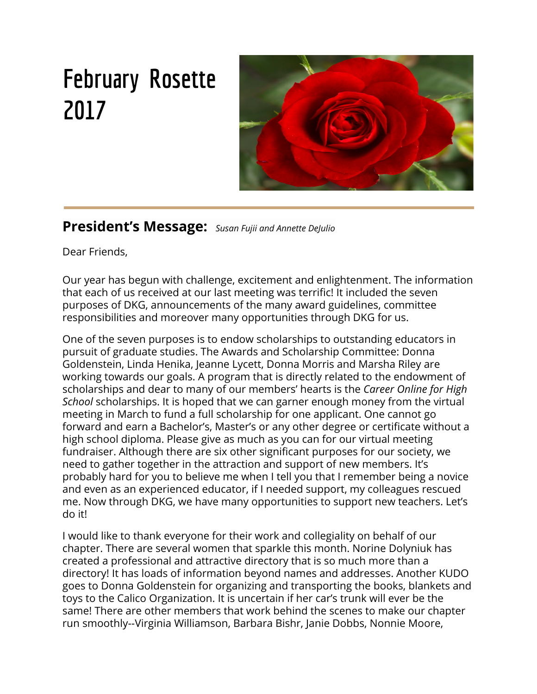**February Joint Meeting with Zeta Zeta Chapter –** Virginia Williamson informed the group that the Alpha Omega Chapter will join the Zeta Zeta Chapter for a joint meeting on Wednesday, February 8, 2017. The meeting will be held at the Crow Canyon Country Club in Danville. A registration form was distributed and and the registration deadline is January 30, 2017. The cost of the dinner is \$35.

**Fundraising –** Jennifer Gonsalves suggested that we consider holding a Bunco fundraiser at the China Bistro. There was general agreement that this was a good idea.

**President's Handbook –** Co-President, Susan Fujii spoke about characteristics of a healthy Chapter outlined in the President's Handbook and noted that our Chapter met many of the criteria.

**Red Roses –** Norine Dolyniuk was recognized for publishing a beautiful Directory for our Chapter. Kudos were given to Barbara Bishr and Janie Dobbs for their work in online publishing of The Rosette, our Chapter's monthly newsletter.

**Adjournment.** The meeting was adjourned by Co-President, Susan Fujii, at 7:20pm.

**Next Meeting:** February 8, Joint Meeting with Zeta Zeta at the Crow Canyon Country Club. 5:15 Social/6:00 Dinner.

**Meeting Dates:**  February 8 (joint meeting with Zeta Zeta), March Virtual, April 25, May 17.

**Respectfully Submitted,**

Marilyn Baker-Madsen **Recording Secretary**

ce les successful, ing to  $\epsilon$ ictureCoaching.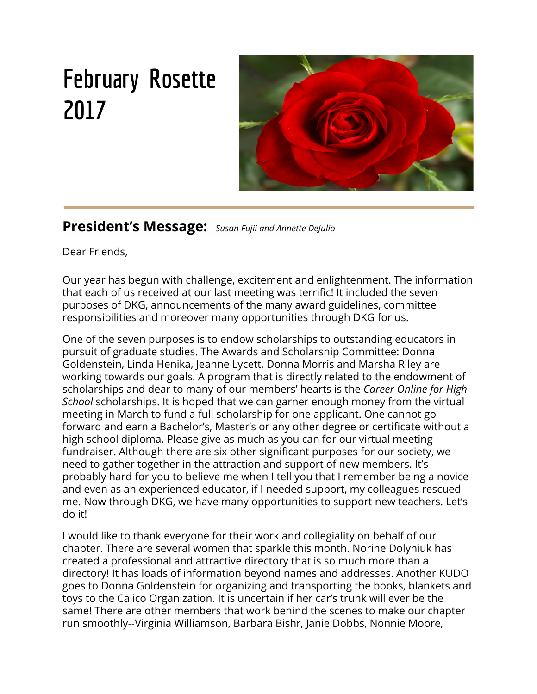| Æ<br>Æ                                                                                                                                                                                                                                                                                                                                                                                                                                                                                                         |                                   |   |
|----------------------------------------------------------------------------------------------------------------------------------------------------------------------------------------------------------------------------------------------------------------------------------------------------------------------------------------------------------------------------------------------------------------------------------------------------------------------------------------------------------------|-----------------------------------|---|
| HfYUgifYfÑg FYdcfhÆ Æ<br>KEEP<br>Æ<br>CALM<br>: YVfi Ufm%ž &\$%+Æ<br><b>AND</b><br><b>VOTE ME</b><br>Æ<br>Æ<br><b>REASURER</b><br>Æ                                                                                                                                                                                                                                                                                                                                                                            |                                   |   |
| 6Y[]bb]b[ 6U`UbWY %#%\$#%+Æ                                                                                                                                                                                                                                                                                                                                                                                                                                                                                    | $\cdots$ $( -\%)$ ") ( $\angle$ E |   |
| Æ                                                                                                                                                                                                                                                                                                                                                                                                                                                                                                              |                                   |   |
| 91 dYbX]hifYg Æ Æ<br>⋯⋯⋯7\YZÑj9ldYf]YbWY                                                                                                                                                                                                                                                                                                                                                                                                                                                                       | $1.11111 - 1.11111$               |   |
| $Bcf]bY8c'mbii$ fDf $]bh]b[$ X $]fYWtofnt$                                                                                                                                                                                                                                                                                                                                                                                                                                                                     | $\frac{1}{2}$ %+&"' %Æ            |   |
| Bcf]bY 8c`mb]i_fA U]`]b[X]fYVMcfmL                                                                                                                                                                                                                                                                                                                                                                                                                                                                             | $8'$ $8\sqrt[3]{8}$               |   |
| Æ Æ<br>$HchU^{\dagger}9I dYbXJhi fYg \quad \mathcal{F}$<br>Æ                                                                                                                                                                                                                                                                                                                                                                                                                                                   | $^{\circ}$ ) - %") % $E$          |   |
| FYWJdhgÆ                                                                                                                                                                                                                                                                                                                                                                                                                                                                                                       |                                   |   |
|                                                                                                                                                                                                                                                                                                                                                                                                                                                                                                                | $(8)$ "\$\$Æ                      | Æ |
|                                                                                                                                                                                                                                                                                                                                                                                                                                                                                                                | $(\alpha)$ $\psi$                 |   |
| Æ Æ                                                                                                                                                                                                                                                                                                                                                                                                                                                                                                            |                                   |   |
| $\label{eq:3} \begin{split} \mathcal{F}_{\mathcal{A}}(\mathcal{A})&=\mathcal{F}_{\mathcal{A}}(\mathcal{A})\mathcal{F}_{\mathcal{A}}(\mathcal{A})\mathcal{F}_{\mathcal{A}}(\mathcal{A})\mathcal{F}_{\mathcal{A}}(\mathcal{A})\mathcal{F}_{\mathcal{A}}(\mathcal{A})\mathcal{F}_{\mathcal{A}}(\mathcal{A})\mathcal{F}_{\mathcal{A}}(\mathcal{A})\mathcal{F}_{\mathcal{A}}(\mathcal{A})\mathcal{F}_{\mathcal{A}}(\mathcal{A})\mathcal{F}_{\mathcal{A}}(\mathcal{A})\mathcal{F}_{\mathcal$<br>HchU`FYWJdhg```<br>Æ |                                   |   |
| $9bX]b[$ 6U`UbVY $3.4\%$ $8.4\%$ $3.4\%$ $3.4\%$ $3.4\%$<br>Æ                                                                                                                                                                                                                                                                                                                                                                                                                                                  |                                   |   |
| FYgdYVWZi ``m gi Va ]hhYXžÆ                                                                                                                                                                                                                                                                                                                                                                                                                                                                                    |                                   |   |
| B cbb]Y A ccfYÆ                                                                                                                                                                                                                                                                                                                                                                                                                                                                                                |                                   |   |
| Æ<br>Æ                                                                                                                                                                                                                                                                                                                                                                                                                                                                                                         |                                   |   |
| $\mathcal{A}% _{T}=\mathcal{A}_{T}\!\left( a,b\right) ,\ \mathcal{A}_{T}=\mathcal{A}_{T}\!\left( a,b\right) ,$                                                                                                                                                                                                                                                                                                                                                                                                 |                                   |   |
| $\mathcal{A}% _{T}=\mathcal{A}_{T}\!\left( a,b\right) ,\ \mathcal{A}_{T}=\mathcal{A}_{T}\!\left( a,b\right) ,$                                                                                                                                                                                                                                                                                                                                                                                                 |                                   |   |
|                                                                                                                                                                                                                                                                                                                                                                                                                                                                                                                |                                   |   |
|                                                                                                                                                                                                                                                                                                                                                                                                                                                                                                                | Æ                                 |   |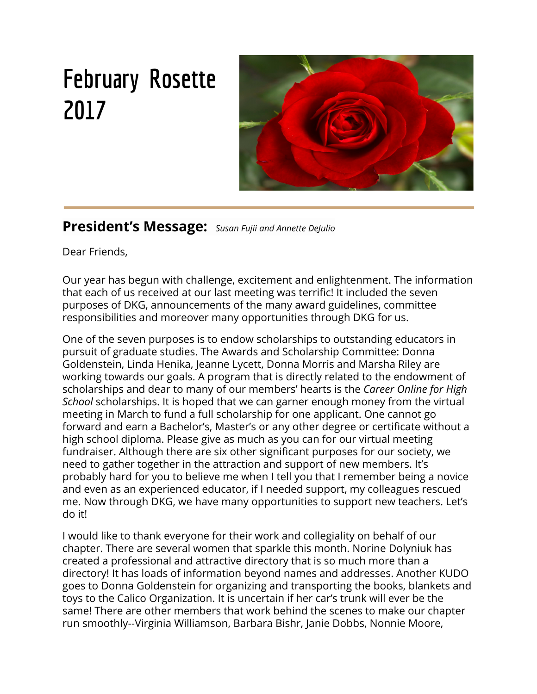

A UfW `]q C i f `J ]fhi U`A YYh]b[ °Æ 5 Vci h hYb mYUfg U[cžci f W UdhYf j chYX hc \Uj Y cbYÆ j]fhi U a YYh]b[ 'Yj YfmmYUf" B c cbY k ci `X \Uj Y hc d`UbÆ Udfc[fUacfXfYggidhc[ccihcbUW]`mb][\h"Æ =bqhYUX k Y k ci `X qhUmWtnmUh \ca Y UbX XcbUhY h\YÆ Wah cZ h\Y X]bbYf hc h\Y GW\c`Ufg\]d : i bX" H\]g nYUf Æ k Y j chYX hc U`cWLhY h\Y a cbYmW YWhYX hc h\YÆ < Unk UfX Di V`]W@|VfUfmUbX 7U`]Zcfb]U GhUhY @|VfUfm@jÆ

7UfYYf C b@bY < ][\GW\cc`"Cif XcbUh]cb cZ "%\$\$ k]`gdcbgcf cbY gW\c`Ufg\]d ]bÆ h\]qbYk dfc[fUa "fl cf a cfY ]bZcžWXYW ci h k k k "WUfYYfcb`]bY\q"cf[ŁÆ Æ

K Y`\UjY`(%a Ya VYfq`]b`5`d\U`Ca Y[U"=Z`kY`YUW\`XcbUhYX``&) žkY`k ci `X`Wc``YWhÆ ~%&) ~=b h\Y dUgh gca Y \Uj Y XcbUhYX a cfY UbX gca Y bch Uh U`" =h ]q ]a dYfUh]j YÆ h\Uh h\]g mYUf Yj YfmcbY \cbcfg ci f Wa a ]ha Ybh"AE

D'YUqY qYbX mcif WXYW hc a Y. Æ

B cbb]Y A ccfYAE

 $'$  \$-GhfYUa qJXY 7]fWY  $\frac{1}{2}$  \$'E

```
DYUqUbhcbž 75 - (), AE
```
Æ

7cb[fUhi `Uh]cbq hc 8cbbU; c`XYbqhY]b Zcf VY]b[ h\Y Z]fqh hc [Yh \Yfq ]b A Æ



# **A YaWfg\dA Utinfgi**

5 d\UCa Y[U7\UdhYf a Ya Wfgk cf\_hc[Yh\Yf hc a U\_Y Us X]ZZYFYbW Zcf YXi WznicbžZcf YXi Wzniców Zcf H Ys Wza a i b]lm°K Ygi ddcfhYXi Wh]cbU "Y[]gUn]cbžk Ys Wobhibi Yhc W``]ZY!`cb[ ``YUfbYfoğUbX k Ygi ddcfhYUWs ch Yf Ib XYj Y cd Ibl ci f `YUXYfq\ Id q T`d' C \ zmYq UbXs k Y\U YZ bžhcc°s

A Ya Wfg\]d ]b 8?; ]gU[]Znk Y Wb cZYf hcs  $\overline{\mathbf{S}}$ ch Yfg + Wo dfcj JXY a Ubm[fck h UbX Ybf]Wa Ybhcddcfh b]h]Yg Zcf bYk a Ya Wfgis UbX VmUXX]b[ hc ci f bi a Wfgk Yk ]``]bVfMUgY ci f UV]`]mhc Xc h Yk cf\_k YfY Xc]b[ 's @MngWcb h Y`cc\_ci hZcf grfcb[k ca Yb YXi Wrcfglrc Wdbg|XYf |bj |Hb[hc ^c|b i g's B YI ha cbh ]gci f j ]fh U a YYHb[ a cbh žgc Yng Wdbg|XYf ]bj ]Hb[ UWc YU i YžZf]YbXis  $cf$  bY|| \ Vcf hc ci  $f$  5df] a YMb| "UHYUWYfžUXa ]b]qhfUrcfž"]VfUf]Ub cf ch Yf gi ddcfhs dYfocbbY žk cf\_]b[ cf fYr]fYXždfYgWcc`'h fci [\ i b]j Yfg]m"" 5 k ]XY fUb[YcZs Yi dYfrjgY UbX Yi dYf]YbW'k ]``grYb[ h Yb ci f WUdhYf UbX Ybf]W ci f a Ya VYfg' @Yhos each one reach one<sup>\*</sup> S

> J If IblUK I la ccbs A Ya Wfo Id 7 ca a IHY's

 $\mathsf{s}$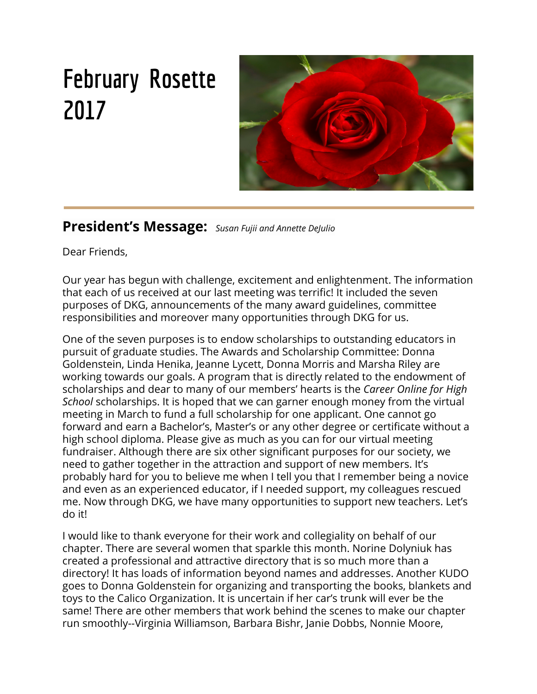

s *@***Y** [ ]q`Uh]j Y B Yk qÆ **¬¬**

s

**¬**

 $7$ CBH57H 588F9GG9G : CF ; CJ9FBA9BHAE =B: CFA 5H=CB | "G"; CJ 9FBA 9BH 7CBH57H =B: CFA 5H=CB WUb VYÆ **CVhUJbYX** h\fci [\ 7cb[fYgg]cbU Gk]hVNVcUfX % , \*\*! ' &+!, \*+\$ On\]g ]g U hc `AE IVAT bi a VYFQ<sup>-</sup> Mci WUb WcbhUWh mci f 7cb[fYgga Ub UbX GYbUhcf h\fci[\h\]g E bi a VYf k ]h\ci h dUm]b[ `cb[ X]ghUbW W Uf [Yg"*A*E

9a U] UWWYgg UbX UXXfYggYgÆ

\hhd. ##k k k "\ci gY" [cj # Zcf a Ya VYfg cZ h\Y < ci gY cZ FYdfYgYbhUh]j YgÆ \hhd. ##k k k "gYbUhY" [cj # Zcf a Ya VYfg cZ h\Y l "G" GYbUhYÆ

**K** \]hY < ci gY % &\$&! () \*! %%% & E

: = J 9 7 C B G H = HI 9 B H 7 C B H 5 7 H G K = @ 2 7 5 I G 9 5 @ 9; = G @ 5 H C F H C D 5 M **E 69F=CIG 5HH9BH=CB HC 5 : = J 9B = GGI 9" Æ** 

### **¬**



# $\colon$  XVFi Ufri8?;  $\left($  A YVFI $d\right)$

Our joint meeting with the DKG Zeta Zeta chapter was a huge success and a lot of fun. Thank you so much for inviting our Alpha Omega chapter to join you!

**¬**

**Co-presidents, Carmen Burks and Carol Rowley,of Zeta Zeta Chapter**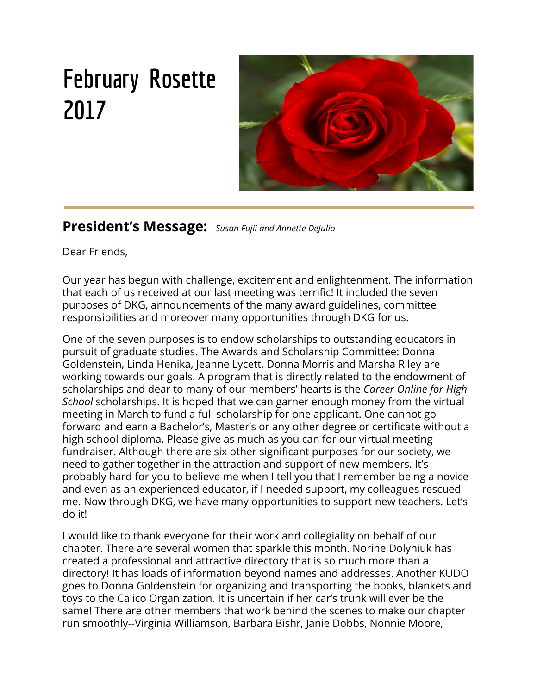

**Donna Goldenstein & Jeanne Lycett**



**Virginia Williamson, Susan Fujii and Annette DeJulio**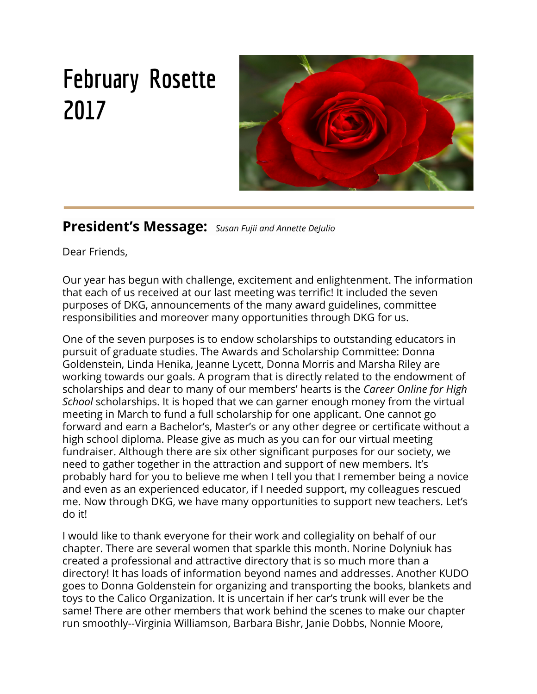

**Linda Henika, Barbara Bishr, and Nancy Wales**



**Jean Groth, Marilyn Baker-Madsen and Virginia Williamson**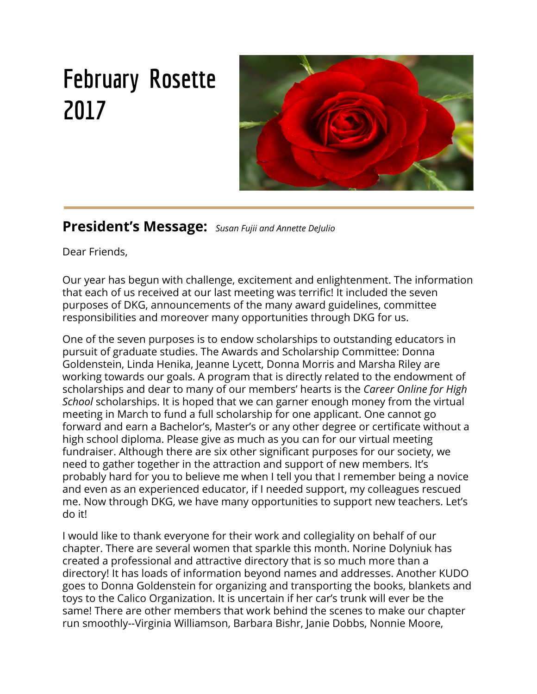## **March is Virtual Meeting Month**

**By Jean Groth**



**March is Virtual Meeting Month when we donate the amount we would have spent for dinner to go toward a scholarship. This year with your donation we will raise money for a scholarship for the Career Online High School- a joint partnership with the California Library Association and our Hayward Library's Literacy Plus Program.**

**In this 18 month program students:**

- **. Earn a high school diploma**
- **. Prepare for career entry or advancement by earning a career certificate in one of eight high-growth, high demand fields**

**. Gain employment search skills and support tools such as a resume, cover letter,**

 **and interviewing tips.**

**This program will help our Hayward residents who may have missed high school graduation, for one reason or another,**

**and are now ready to earn their diploma and a career certificate in a chosen field, taking steps toward a positive future.**

**We hope our generosity will provide a full scholarship of \$1, 010 for one student. Thank you**